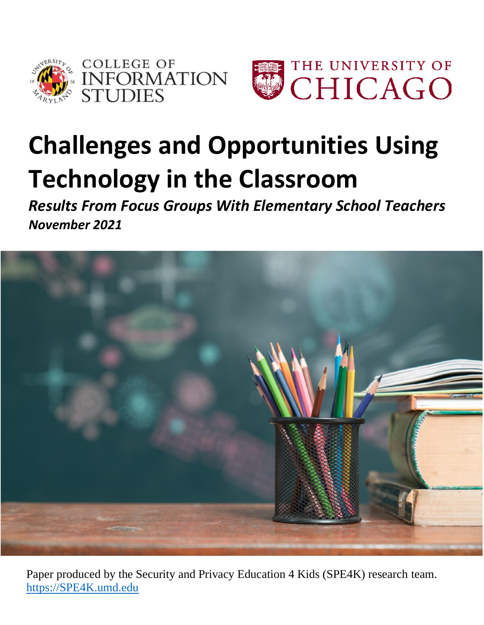



# **Challenges and Opportunities Using Technology in the Classroom**

*Results From Focus Groups With Elementary School Teachers November 2021* 



Paper produced by the Security and Privacy Education 4 Kids (SPE4K) research team. [https://SPE4K.umd.edu](https://spe4k.umd.edu/)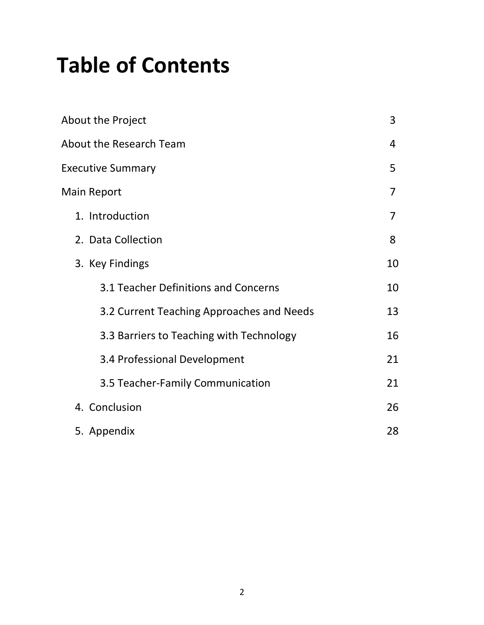## **Table of Contents**

| About the Project                         | 3  |
|-------------------------------------------|----|
| <b>About the Research Team</b>            | 4  |
| <b>Executive Summary</b>                  | 5  |
| Main Report                               | 7  |
| 1. Introduction                           | 7  |
| 2. Data Collection                        | 8  |
| 3. Key Findings                           | 10 |
| 3.1 Teacher Definitions and Concerns      | 10 |
| 3.2 Current Teaching Approaches and Needs | 13 |
| 3.3 Barriers to Teaching with Technology  | 16 |
| 3.4 Professional Development              | 21 |
| 3.5 Teacher-Family Communication          | 21 |
| 4. Conclusion                             | 26 |
| 5. Appendix                               | 28 |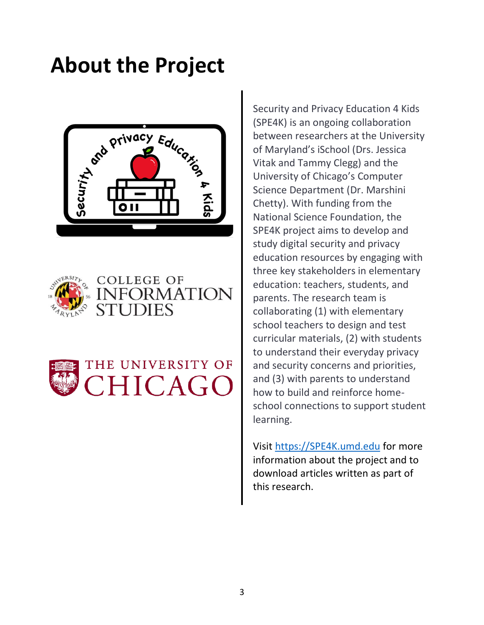## **About the Project**









Security and Privacy Education 4 Kids (SPE4K) is an ongoing collaboration between researchers at the University of Maryland's iSchool (Drs. Jessica Vitak and Tammy Clegg) and the University of Chicago's Computer Science Department (Dr. Marshini Chetty). With funding from the National Science Foundation, the SPE4K project aims to develop and study digital security and privacy education resources by engaging with three key stakeholders in elementary education: teachers, students, and parents. The research team is collaborating (1) with elementary school teachers to design and test curricular materials, (2) with students to understand their everyday privacy and security concerns and priorities, and (3) with parents to understand how to build and reinforce homeschool connections to support student learning.

Visit [https://SPE4K.umd.edu](https://spe4k.umd.edu/) for more information about the project and to download articles written as part of this research.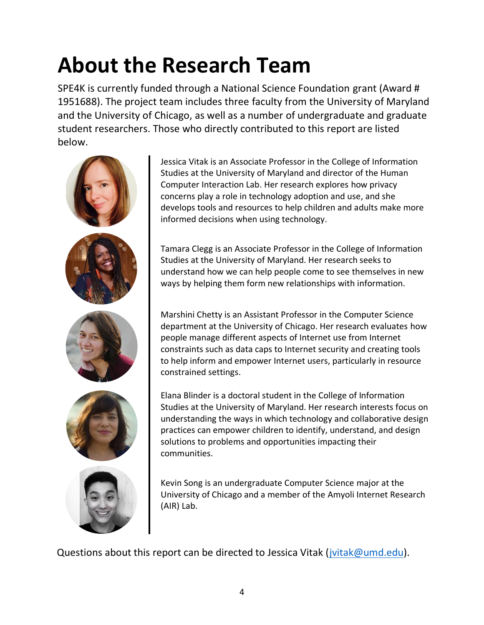# **About the Research Team**

SPE4K is currently funded through a National Science Foundation grant (Award # 1951688). The project team includes three faculty from the University of Maryland and the University of Chicago, as well as a number of undergraduate and graduate student researchers. Those who directly contributed to this report are listed below.



Jessica Vitak is an Associate Professor in the College of Information Studies at the University of Maryland and director of the Human Computer Interaction Lab. Her research explores how privacy concerns play a role in technology adoption and use, and she develops tools and resources to help children and adults make more informed decisions when using technology.

Tamara Clegg is an Associate Professor in the College of Information Studies at the University of Maryland. Her research seeks to understand how we can help people come to see themselves in new ways by helping them form new relationships with information.

Marshini Chetty is an Assistant Professor in the Computer Science department at the University of Chicago. Her research evaluates how people manage different aspects of Internet use from Internet constraints such as data caps to Internet security and creating tools to help inform and empower Internet users, particularly in resource constrained settings.

Elana Blinder is a doctoral student in the College of Information Studies at the University of Maryland. Her research interests focus on understanding the ways in which technology and collaborative design practices can empower children to identify, understand, and design solutions to problems and opportunities impacting their communities.

Kevin Song is an undergraduate Computer Science major at the University of Chicago and a member of the Amyoli Internet Research (AIR) Lab.

Questions about this report can be directed to Jessica Vitak [\(jvitak@umd.edu\)](mailto:jvitak@umd.edu).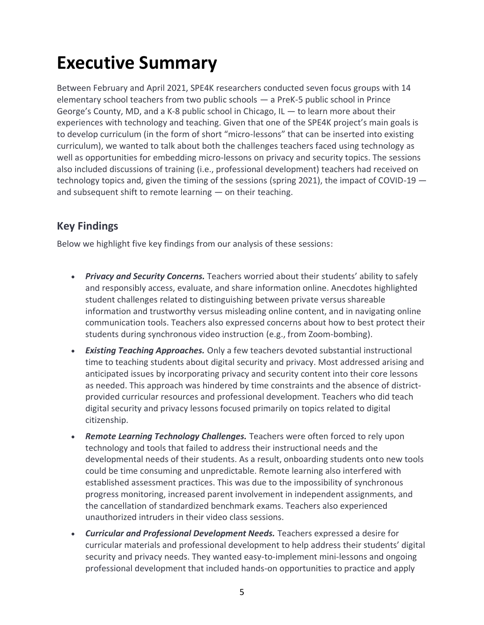### **Executive Summary**

Between February and April 2021, SPE4K researchers conducted seven focus groups with 14 elementary school teachers from two public schools — a PreK-5 public school in Prince George's County, MD, and a K-8 public school in Chicago,  $IL - to learn more about their$ experiences with technology and teaching. Given that one of the SPE4K project's main goals is to develop curriculum (in the form of short "micro-lessons" that can be inserted into existing curriculum), we wanted to talk about both the challenges teachers faced using technology as well as opportunities for embedding micro-lessons on privacy and security topics. The sessions also included discussions of training (i.e., professional development) teachers had received on technology topics and, given the timing of the sessions (spring 2021), the impact of COVID-19 and subsequent shift to remote learning — on their teaching.

#### **Key Findings**

Below we highlight five key findings from our analysis of these sessions:

- *Privacy and Security Concerns.* Teachers worried about their students' ability to safely and responsibly access, evaluate, and share information online. Anecdotes highlighted student challenges related to distinguishing between private versus shareable information and trustworthy versus misleading online content, and in navigating online communication tools. Teachers also expressed concerns about how to best protect their students during synchronous video instruction (e.g., from Zoom-bombing).
- *Existing Teaching Approaches.* Only a few teachers devoted substantial instructional time to teaching students about digital security and privacy. Most addressed arising and anticipated issues by incorporating privacy and security content into their core lessons as needed. This approach was hindered by time constraints and the absence of districtprovided curricular resources and professional development. Teachers who did teach digital security and privacy lessons focused primarily on topics related to digital citizenship.
- *Remote Learning Technology Challenges.* Teachers were often forced to rely upon technology and tools that failed to address their instructional needs and the developmental needs of their students. As a result, onboarding students onto new tools could be time consuming and unpredictable. Remote learning also interfered with established assessment practices. This was due to the impossibility of synchronous progress monitoring, increased parent involvement in independent assignments, and the cancellation of standardized benchmark exams. Teachers also experienced unauthorized intruders in their video class sessions.
- *Curricular and Professional Development Needs.* Teachers expressed a desire for curricular materials and professional development to help address their students' digital security and privacy needs. They wanted easy-to-implement mini-lessons and ongoing professional development that included hands-on opportunities to practice and apply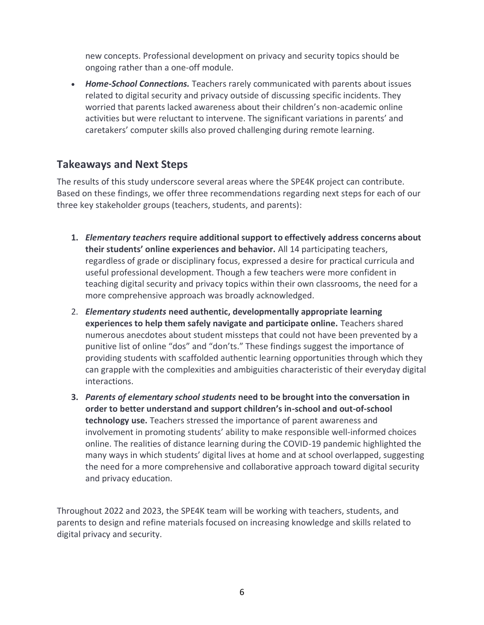new concepts. Professional development on privacy and security topics should be ongoing rather than a one-off module.

• *Home-School Connections.* Teachers rarely communicated with parents about issues related to digital security and privacy outside of discussing specific incidents. They worried that parents lacked awareness about their children's non-academic online activities but were reluctant to intervene. The significant variations in parents' and caretakers' computer skills also proved challenging during remote learning.

#### **Takeaways and Next Steps**

The results of this study underscore several areas where the SPE4K project can contribute. Based on these findings, we offer three recommendations regarding next steps for each of our three key stakeholder groups (teachers, students, and parents):

- **1.** *Elementary teachers* **require additional support to effectively address concerns about their students' online experiences and behavior.** All 14 participating teachers, regardless of grade or disciplinary focus, expressed a desire for practical curricula and useful professional development. Though a few teachers were more confident in teaching digital security and privacy topics within their own classrooms, the need for a more comprehensive approach was broadly acknowledged.
- 2. *Elementary students* **need authentic, developmentally appropriate learning experiences to help them safely navigate and participate online.** Teachers shared numerous anecdotes about student missteps that could not have been prevented by a punitive list of online "dos" and "don'ts." These findings suggest the importance of providing students with scaffolded authentic learning opportunities through which they can grapple with the complexities and ambiguities characteristic of their everyday digital interactions.
- **3.** *Parents of elementary school students* **need to be brought into the conversation in order to better understand and support children's in-school and out-of-school technology use.** Teachers stressed the importance of parent awareness and involvement in promoting students' ability to make responsible well-informed choices online. The realities of distance learning during the COVID-19 pandemic highlighted the many ways in which students' digital lives at home and at school overlapped, suggesting the need for a more comprehensive and collaborative approach toward digital security and privacy education.

Throughout 2022 and 2023, the SPE4K team will be working with teachers, students, and parents to design and refine materials focused on increasing knowledge and skills related to digital privacy and security.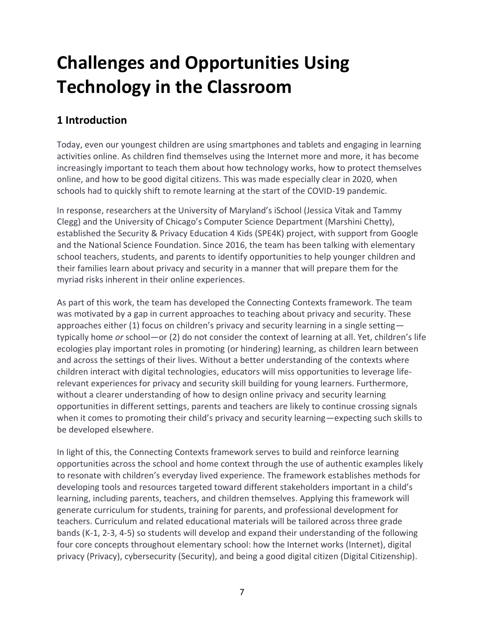## **Challenges and Opportunities Using Technology in the Classroom**

#### **1 Introduction**

Today, even our youngest children are using smartphones and tablets and engaging in learning activities online. As children find themselves using the Internet more and more, it has become increasingly important to teach them about how technology works, how to protect themselves online, and how to be good digital citizens. This was made especially clear in 2020, when schools had to quickly shift to remote learning at the start of the COVID-19 pandemic.

In response, researchers at the University of Maryland's iSchool (Jessica Vitak and Tammy Clegg) and the University of Chicago's Computer Science Department (Marshini Chetty), established the Security & Privacy Education 4 Kids (SPE4K) project, with support from Google and the National Science Foundation. Since 2016, the team has been talking with elementary school teachers, students, and parents to identify opportunities to help younger children and their families learn about privacy and security in a manner that will prepare them for the myriad risks inherent in their online experiences.

As part of this work, the team has developed the Connecting Contexts framework. The team was motivated by a gap in current approaches to teaching about privacy and security. These approaches either (1) focus on children's privacy and security learning in a single setting typically home *or* school—or (2) do not consider the context of learning at all. Yet, children's life ecologies play important roles in promoting (or hindering) learning, as children learn between and across the settings of their lives. Without a better understanding of the contexts where children interact with digital technologies, educators will miss opportunities to leverage liferelevant experiences for privacy and security skill building for young learners. Furthermore, without a clearer understanding of how to design online privacy and security learning opportunities in different settings, parents and teachers are likely to continue crossing signals when it comes to promoting their child's privacy and security learning—expecting such skills to be developed elsewhere.

In light of this, the Connecting Contexts framework serves to build and reinforce learning opportunities across the school and home context through the use of authentic examples likely to resonate with children's everyday lived experience. The framework establishes methods for developing tools and resources targeted toward different stakeholders important in a child's learning, including parents, teachers, and children themselves. Applying this framework will generate curriculum for students, training for parents, and professional development for teachers. Curriculum and related educational materials will be tailored across three grade bands (K-1, 2-3, 4-5) so students will develop and expand their understanding of the following four core concepts throughout elementary school: how the Internet works (Internet), digital privacy (Privacy), cybersecurity (Security), and being a good digital citizen (Digital Citizenship).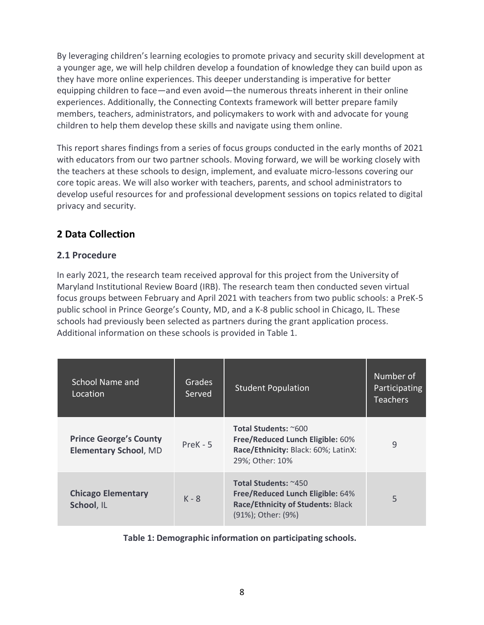By leveraging children's learning ecologies to promote privacy and security skill development at a younger age, we will help children develop a foundation of knowledge they can build upon as they have more online experiences. This deeper understanding is imperative for better equipping children to face—and even avoid—the numerous threats inherent in their online experiences. Additionally, the Connecting Contexts framework will better prepare family members, teachers, administrators, and policymakers to work with and advocate for young children to help them develop these skills and navigate using them online.

This report shares findings from a series of focus groups conducted in the early months of 2021 with educators from our two partner schools. Moving forward, we will be working closely with the teachers at these schools to design, implement, and evaluate micro-lessons covering our core topic areas. We will also worker with teachers, parents, and school administrators to develop useful resources for and professional development sessions on topics related to digital privacy and security.

#### **2 Data Collection**

#### **2.1 Procedure**

In early 2021, the research team received approval for this project from the University of Maryland Institutional Review Board (IRB). The research team then conducted seven virtual focus groups between February and April 2021 with teachers from two public schools: a PreK-5 public school in Prince George's County, MD, and a K-8 public school in Chicago, IL. These schools had previously been selected as partners during the grant application process. Additional information on these schools is provided in Table 1.

| School Name and<br>Location                                   | <b>Grades</b><br>Served | <b>Student Population</b>                                                                                           | Number of<br>Participating<br><b>Teachers</b> |
|---------------------------------------------------------------|-------------------------|---------------------------------------------------------------------------------------------------------------------|-----------------------------------------------|
| <b>Prince George's County</b><br><b>Elementary School, MD</b> | $PreK - 5$              | Total Students: ~600<br>Free/Reduced Lunch Eligible: 60%<br>Race/Ethnicity: Black: 60%; LatinX:<br>29%; Other: 10%  | 9                                             |
| <b>Chicago Elementary</b><br>School, IL                       | $K - 8$                 | Total Students: ~450<br>Free/Reduced Lunch Eligible: 64%<br>Race/Ethnicity of Students: Black<br>(91%); Other: (9%) | 5                                             |

**Table 1: Demographic information on participating schools.**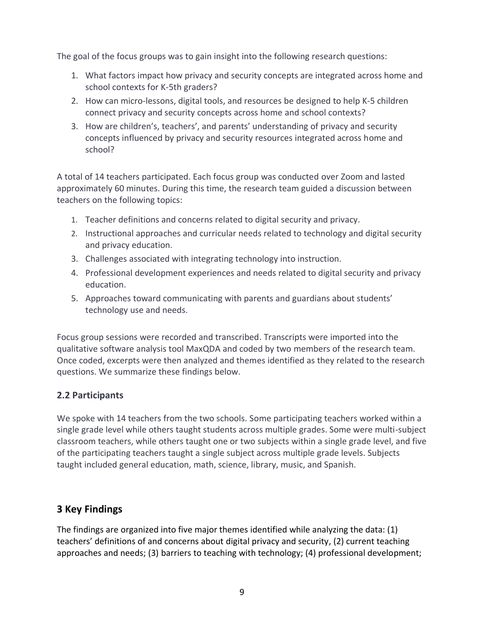The goal of the focus groups was to gain insight into the following research questions:

- 1. What factors impact how privacy and security concepts are integrated across home and school contexts for K-5th graders?
- 2. How can micro-lessons, digital tools, and resources be designed to help K-5 children connect privacy and security concepts across home and school contexts?
- 3. How are children's, teachers', and parents' understanding of privacy and security concepts influenced by privacy and security resources integrated across home and school?

A total of 14 teachers participated. Each focus group was conducted over Zoom and lasted approximately 60 minutes. During this time, the research team guided a discussion between teachers on the following topics:

- 1. Teacher definitions and concerns related to digital security and privacy.
- 2. Instructional approaches and curricular needs related to technology and digital security and privacy education.
- 3. Challenges associated with integrating technology into instruction.
- 4. Professional development experiences and needs related to digital security and privacy education.
- 5. Approaches toward communicating with parents and guardians about students' technology use and needs.

Focus group sessions were recorded and transcribed. Transcripts were imported into the qualitative software analysis tool MaxQDA and coded by two members of the research team. Once coded, excerpts were then analyzed and themes identified as they related to the research questions. We summarize these findings below.

#### **2.2 Participants**

We spoke with 14 teachers from the two schools. Some participating teachers worked within a single grade level while others taught students across multiple grades. Some were multi-subject classroom teachers, while others taught one or two subjects within a single grade level, and five of the participating teachers taught a single subject across multiple grade levels. Subjects taught included general education, math, science, library, music, and Spanish.

#### **3 Key Findings**

The findings are organized into five major themes identified while analyzing the data: (1) teachers' definitions of and concerns about digital privacy and security, (2) current teaching approaches and needs; (3) barriers to teaching with technology; (4) professional development;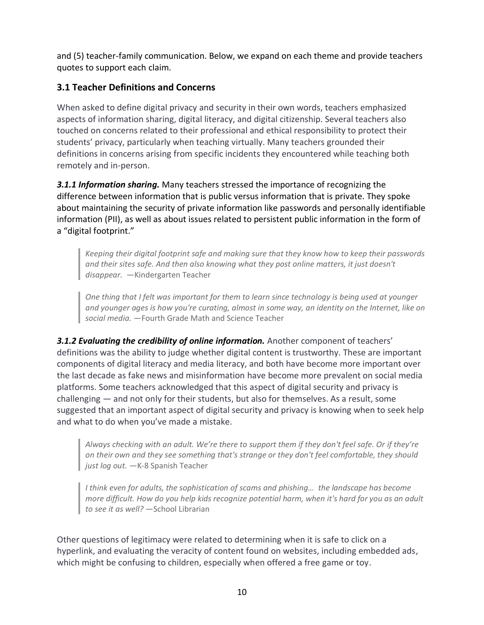and (5) teacher-family communication. Below, we expand on each theme and provide teachers quotes to support each claim.

#### **3.1 Teacher Definitions and Concerns**

When asked to define digital privacy and security in their own words, teachers emphasized aspects of information sharing, digital literacy, and digital citizenship. Several teachers also touched on concerns related to their professional and ethical responsibility to protect their students' privacy, particularly when teaching virtually. Many teachers grounded their definitions in concerns arising from specific incidents they encountered while teaching both remotely and in-person.

*3.1.1 Information sharing.* Many teachers stressed the importance of recognizing the difference between information that is public versus information that is private. They spoke about maintaining the security of private information like passwords and personally identifiable information (PII), as well as about issues related to persistent public information in the form of a "digital footprint."

*Keeping their digital footprint safe and making sure that they know how to keep their passwords and their sites safe. And then also knowing what they post online matters, it just doesn't disappear.* —Kindergarten Teacher

*One thing that I felt was important for them to learn since technology is being used at younger and younger ages is how you're curating, almost in some way, an identity on the Internet, like on social media.* —Fourth Grade Math and Science Teacher

**3.1.2 Evaluating the credibility of online information.** Another component of teachers' definitions was the ability to judge whether digital content is trustworthy. These are important components of digital literacy and media literacy, and both have become more important over the last decade as fake news and misinformation have become more prevalent on social media platforms. Some teachers acknowledged that this aspect of digital security and privacy is challenging — and not only for their students, but also for themselves. As a result, some suggested that an important aspect of digital security and privacy is knowing when to seek help and what to do when you've made a mistake.

*Always checking with an adult. We're there to support them if they don't feel safe. Or if they're on their own and they see something that's strange or they don't feel comfortable, they should*  just log out. - K-8 Spanish Teacher

*I think even for adults, the sophistication of scams and phishing… the landscape has become more difficult. How do you help kids recognize potential harm, when it's hard for you as an adult to see it as well?* —School Librarian

Other questions of legitimacy were related to determining when it is safe to click on a hyperlink, and evaluating the veracity of content found on websites, including embedded ads, which might be confusing to children, especially when offered a free game or toy.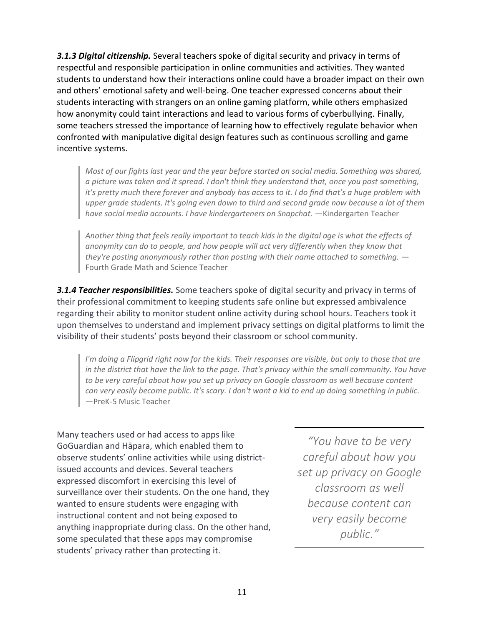*3.1.3 Digital citizenship.* Several teachers spoke of digital security and privacy in terms of respectful and responsible participation in online communities and activities. They wanted students to understand how their interactions online could have a broader impact on their own and others' emotional safety and well-being. One teacher expressed concerns about their students interacting with strangers on an online gaming platform, while others emphasized how anonymity could taint interactions and lead to various forms of cyberbullying. Finally, some teachers stressed the importance of learning how to effectively regulate behavior when confronted with manipulative digital design features such as continuous scrolling and game incentive systems.

*Most of our fights last year and the year before started on social media. Something was shared, a picture was taken and it spread. I don't think they understand that, once you post something, it's pretty much there forever and anybody has access to it. I do find that's a huge problem with upper grade students. It's going even down to third and second grade now because a lot of them have social media accounts. I have kindergarteners on Snapchat.* —Kindergarten Teacher

*Another thing that feels really important to teach kids in the digital age is what the effects of anonymity can do to people, and how people will act very differently when they know that they're posting anonymously rather than posting with their name attached to something.* — Fourth Grade Math and Science Teacher

*3.1.4 Teacher responsibilities.* Some teachers spoke of digital security and privacy in terms of their professional commitment to keeping students safe online but expressed ambivalence regarding their ability to monitor student online activity during school hours. Teachers took it upon themselves to understand and implement privacy settings on digital platforms to limit the visibility of their students' posts beyond their classroom or school community.

*I'm doing a Flipgrid right now for the kids. Their responses are visible, but only to those that are in the district that have the link to the page. That's privacy within the small community. You have to be very careful about how you set up privacy on Google classroom as well because content can very easily become public. It's scary. I don't want a kid to end up doing something in public.*  —PreK-5 Music Teacher

Many teachers used or had access to apps like GoGuardian and Hāpara, which enabled them to observe students' online activities while using districtissued accounts and devices. Several teachers expressed discomfort in exercising this level of surveillance over their students. On the one hand, they wanted to ensure students were engaging with instructional content and not being exposed to anything inappropriate during class. On the other hand, some speculated that these apps may compromise students' privacy rather than protecting it.

*"You have to be very careful about how you set up privacy on Google classroom as well because content can very easily become public."*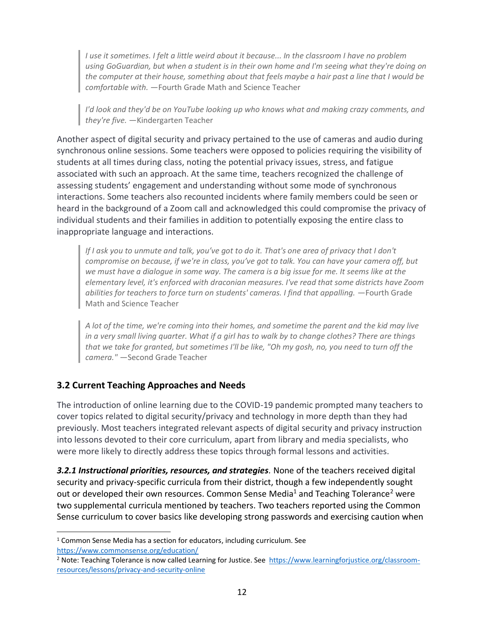*I use it sometimes. I felt a little weird about it because... In the classroom I have no problem using GoGuardian, but when a student is in their own home and I'm seeing what they're doing on the computer at their house, something about that feels maybe a hair past a line that I would be comfortable with.* —Fourth Grade Math and Science Teacher

*I'd look and they'd be on YouTube looking up who knows what and making crazy comments, and they're five.* —Kindergarten Teacher

Another aspect of digital security and privacy pertained to the use of cameras and audio during synchronous online sessions. Some teachers were opposed to policies requiring the visibility of students at all times during class, noting the potential privacy issues, stress, and fatigue associated with such an approach. At the same time, teachers recognized the challenge of assessing students' engagement and understanding without some mode of synchronous interactions. Some teachers also recounted incidents where family members could be seen or heard in the background of a Zoom call and acknowledged this could compromise the privacy of individual students and their families in addition to potentially exposing the entire class to inappropriate language and interactions.

*If I ask you to unmute and talk, you've got to do it. That's one area of privacy that I don't compromise on because, if we're in class, you've got to talk. You can have your camera off, but we must have a dialogue in some way. The camera is a big issue for me. It seems like at the elementary level, it's enforced with draconian measures. I've read that some districts have Zoom abilities for teachers to force turn on students' cameras. I find that appalling.* —Fourth Grade Math and Science Teacher

*A lot of the time, we're coming into their homes, and sometime the parent and the kid may live in a very small living quarter. What if a girl has to walk by to change clothes? There are things that we take for granted, but sometimes I'll be like, "Oh my gosh, no, you need to turn off the camera."* —Second Grade Teacher

#### **3.2 Current Teaching Approaches and Needs**

The introduction of online learning due to the COVID-19 pandemic prompted many teachers to cover topics related to digital security/privacy and technology in more depth than they had previously. Most teachers integrated relevant aspects of digital security and privacy instruction into lessons devoted to their core curriculum, apart from library and media specialists, who were more likely to directly address these topics through formal lessons and activities.

*3.2.1 Instructional priorities, resources, and strategies.* None of the teachers received digital security and privacy-specific curricula from their district, though a few independently sought out or developed their own resources. Common Sense Media<sup>1</sup> and Teaching Tolerance<sup>2</sup> were two supplemental curricula mentioned by teachers. Two teachers reported using the Common Sense curriculum to cover basics like developing strong passwords and exercising caution when

<sup>&</sup>lt;sup>1</sup> Common Sense Media has a section for educators, including curriculum. See <https://www.commonsense.org/education/>

<sup>&</sup>lt;sup>2</sup> Note: Teaching Tolerance is now called Learning for Justice. See [https://www.learningforjustice.org/classroom](https://www.learningforjustice.org/classroom-resources/lessons/privacy-and-security-online)[resources/lessons/privacy-and-security-online](https://www.learningforjustice.org/classroom-resources/lessons/privacy-and-security-online)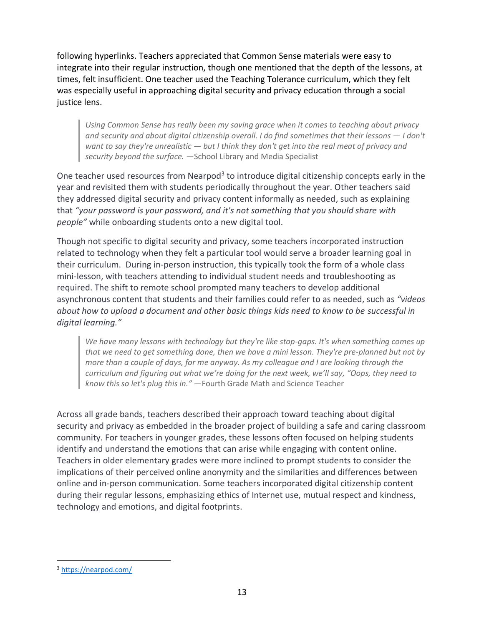following hyperlinks. Teachers appreciated that Common Sense materials were easy to integrate into their regular instruction, though one mentioned that the depth of the lessons, at times, felt insufficient. One teacher used the Teaching Tolerance curriculum, which they felt was especially useful in approaching digital security and privacy education through a social justice lens.

*Using Common Sense has really been my saving grace when it comes to teaching about privacy and security and about digital citizenship overall. I do find sometimes that their lessons — I don't want to say they're unrealistic — but I think they don't get into the real meat of privacy and security beyond the surface.* —School Library and Media Specialist

One teacher used resources from Nearpod<sup>3</sup> to introduce digital citizenship concepts early in the year and revisited them with students periodically throughout the year. Other teachers said they addressed digital security and privacy content informally as needed, such as explaining that *"your password is your password, and it's not something that you should share with people"* while onboarding students onto a new digital tool.

Though not specific to digital security and privacy, some teachers incorporated instruction related to technology when they felt a particular tool would serve a broader learning goal in their curriculum. During in-person instruction, this typically took the form of a whole class mini-lesson, with teachers attending to individual student needs and troubleshooting as required. The shift to remote school prompted many teachers to develop additional asynchronous content that students and their families could refer to as needed, such as *"videos about how to upload a document and other basic things kids need to know to be successful in digital learning."*

*We have many lessons with technology but they're like stop-gaps. It's when something comes up that we need to get something done, then we have a mini lesson. They're pre-planned but not by more than a couple of days, for me anyway. As my colleague and I are looking through the curriculum and figuring out what we're doing for the next week, we'll say, "Oops, they need to know this so let's plug this in."* —Fourth Grade Math and Science Teacher

Across all grade bands, teachers described their approach toward teaching about digital security and privacy as embedded in the broader project of building a safe and caring classroom community. For teachers in younger grades, these lessons often focused on helping students identify and understand the emotions that can arise while engaging with content online. Teachers in older elementary grades were more inclined to prompt students to consider the implications of their perceived online anonymity and the similarities and differences between online and in-person communication. Some teachers incorporated digital citizenship content during their regular lessons, emphasizing ethics of Internet use, mutual respect and kindness, technology and emotions, and digital footprints.

<sup>3</sup> <https://nearpod.com/>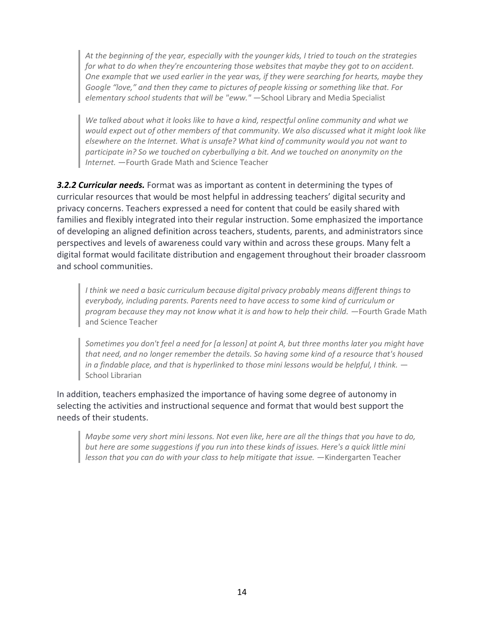*At the beginning of the year, especially with the younger kids, I tried to touch on the strategies for what to do when they're encountering those websites that maybe they got to on accident. One example that we used earlier in the year was, if they were searching for hearts, maybe they Google "love," and then they came to pictures of people kissing or something like that. For elementary school students that will be "eww."* —School Library and Media Specialist

*We talked about what it looks like to have a kind, respectful online community and what we would expect out of other members of that community. We also discussed what it might look like elsewhere on the Internet. What is unsafe? What kind of community would you not want to participate in? So we touched on cyberbullying a bit. And we touched on anonymity on the Internet.* —Fourth Grade Math and Science Teacher

**3.2.2 Curricular needs.** Format was as important as content in determining the types of curricular resources that would be most helpful in addressing teachers' digital security and privacy concerns. Teachers expressed a need for content that could be easily shared with families and flexibly integrated into their regular instruction. Some emphasized the importance of developing an aligned definition across teachers, students, parents, and administrators since perspectives and levels of awareness could vary within and across these groups. Many felt a digital format would facilitate distribution and engagement throughout their broader classroom and school communities.

*I think we need a basic curriculum because digital privacy probably means different things to everybody, including parents. Parents need to have access to some kind of curriculum or program because they may not know what it is and how to help their child. —Fourth Grade Math* and Science Teacher

*Sometimes you don't feel a need for [a lesson] at point A, but three months later you might have that need, and no longer remember the details. So having some kind of a resource that's housed in a findable place, and that is hyperlinked to those mini lessons would be helpful, I think.* — School Librarian

In addition, teachers emphasized the importance of having some degree of autonomy in selecting the activities and instructional sequence and format that would best support the needs of their students.

*Maybe some very short mini lessons. Not even like, here are all the things that you have to do, but here are some suggestions if you run into these kinds of issues. Here's a quick little mini lesson that you can do with your class to help mitigate that issue.* —Kindergarten Teacher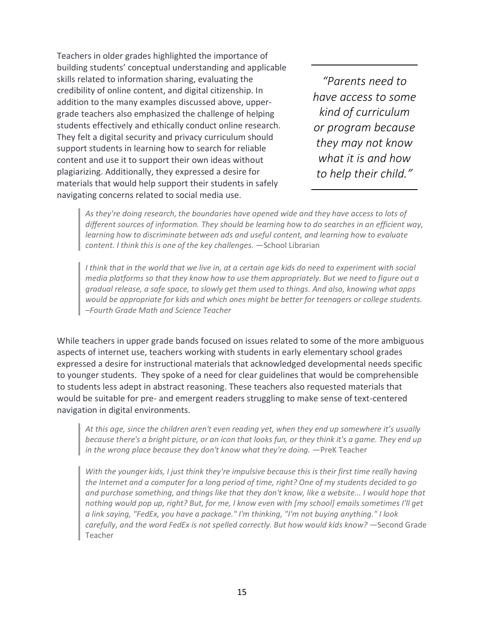Teachers in older grades highlighted the importance of building students' conceptual understanding and applicable skills related to information sharing, evaluating the credibility of online content, and digital citizenship. In addition to the many examples discussed above, uppergrade teachers also emphasized the challenge of helping students effectively and ethically conduct online research. They felt a digital security and privacy curriculum should support students in learning how to search for reliable content and use it to support their own ideas without plagiarizing. Additionally, they expressed a desire for materials that would help support their students in safely navigating concerns related to social media use.

*"Parents need to have access to some kind of curriculum or program because they may not know what it is and how to help their child."*

*As they're doing research, the boundaries have opened wide and they have access to lots of different sources of information. They should be learning how to do searches in an efficient way, learning how to discriminate between ads and useful content, and learning how to evaluate content. I think this is one of the key challenges.* —School Librarian

*I think that in the world that we live in, at a certain age kids do need to experiment with social media platforms so that they know how to use them appropriately. But we need to figure out a gradual release, a safe space, to slowly get them used to things. And also, knowing what apps would be appropriate for kids and which ones might be better for teenagers or college students. –Fourth Grade Math and Science Teacher* 

While teachers in upper grade bands focused on issues related to some of the more ambiguous aspects of internet use, teachers working with students in early elementary school grades expressed a desire for instructional materials that acknowledged developmental needs specific to younger students. They spoke of a need for clear guidelines that would be comprehensible to students less adept in abstract reasoning. These teachers also requested materials that would be suitable for pre- and emergent readers struggling to make sense of text-centered navigation in digital environments.

*At this age, since the children aren't even reading yet, when they end up somewhere it's usually because there's a bright picture, or an icon that looks fun, or they think it's a game. They end up in the wrong place because they don't know what they're doing.* —PreK Teacher

*With the younger kids, I just think they're impulsive because this is their first time really having the Internet and a computer for a long period of time, right? One of my students decided to go and purchase something, and things like that they don't know, like a website... I would hope that nothing would pop up, right? But, for me, I know even with [my school] emails sometimes I'll get a link saying, "FedEx, you have a package." I'm thinking, "I'm not buying anything." I look carefully, and the word FedEx is not spelled correctly. But how would kids know?* —Second Grade Teacher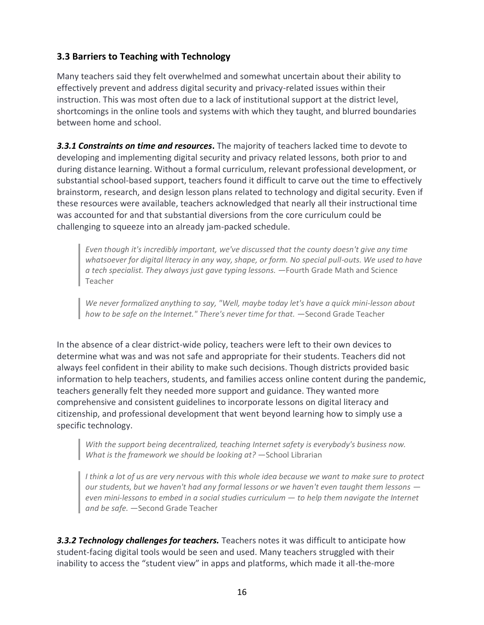#### **3.3 Barriers to Teaching with Technology**

Many teachers said they felt overwhelmed and somewhat uncertain about their ability to effectively prevent and address digital security and privacy-related issues within their instruction. This was most often due to a lack of institutional support at the district level, shortcomings in the online tools and systems with which they taught, and blurred boundaries between home and school.

*3.3.1 Constraints on time and resources***.** The majority of teachers lacked time to devote to developing and implementing digital security and privacy related lessons, both prior to and during distance learning. Without a formal curriculum, relevant professional development, or substantial school-based support, teachers found it difficult to carve out the time to effectively brainstorm, research, and design lesson plans related to technology and digital security. Even if these resources were available, teachers acknowledged that nearly all their instructional time was accounted for and that substantial diversions from the core curriculum could be challenging to squeeze into an already jam-packed schedule.

*Even though it's incredibly important, we've discussed that the county doesn't give any time whatsoever for digital literacy in any way, shape, or form. No special pull-outs. We used to have a tech specialist. They always just gave typing lessons.* —Fourth Grade Math and Science Teacher

*We never formalized anything to say, "Well, maybe today let's have a quick mini-lesson about how to be safe on the Internet." There's never time for that.* —Second Grade Teacher

In the absence of a clear district-wide policy, teachers were left to their own devices to determine what was and was not safe and appropriate for their students. Teachers did not always feel confident in their ability to make such decisions. Though districts provided basic information to help teachers, students, and families access online content during the pandemic, teachers generally felt they needed more support and guidance. They wanted more comprehensive and consistent guidelines to incorporate lessons on digital literacy and citizenship, and professional development that went beyond learning how to simply use a specific technology.

*With the support being decentralized, teaching Internet safety is everybody's business now. What is the framework we should be looking at?* - School Librarian

*I think a lot of us are very nervous with this whole idea because we want to make sure to protect our students, but we haven't had any formal lessons or we haven't even taught them lessons even mini-lessons to embed in a social studies curriculum — to help them navigate the Internet and be safe.* —Second Grade Teacher

*3.3.2 Technology challenges for teachers.* Teachers notes it was difficult to anticipate how student-facing digital tools would be seen and used. Many teachers struggled with their inability to access the "student view" in apps and platforms, which made it all-the-more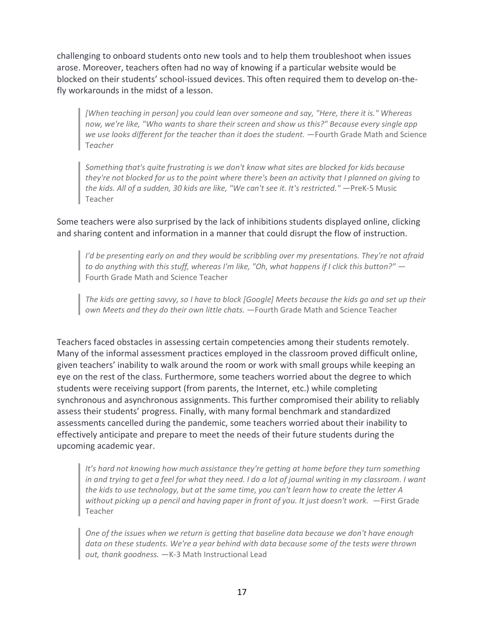challenging to onboard students onto new tools and to help them troubleshoot when issues arose. Moreover, teachers often had no way of knowing if a particular website would be blocked on their students' school-issued devices. This often required them to develop on-thefly workarounds in the midst of a lesson.

*[When teaching in person] you could lean over someone and say, "Here, there it is." Whereas now, we're like, "Who wants to share their screen and show us this?" Because every single app we use looks different for the teacher than it does the student.* —Fourth Grade Math and Science T*eacher*

*Something that's quite frustrating is we don't know what sites are blocked for kids because they're not blocked for us to the point where there's been an activity that I planned on giving to the kids. All of a sudden, 30 kids are like, "We can't see it. It's restricted."* —PreK-5 Music Teacher

Some teachers were also surprised by the lack of inhibitions students displayed online, clicking and sharing content and information in a manner that could disrupt the flow of instruction.

*I'd be presenting early on and they would be scribbling over my presentations. They're not afraid to do anything with this stuff, whereas I'm like, "Oh, what happens if I click this button?"* — Fourth Grade Math and Science Teacher

*The kids are getting savvy, so I have to block [Google] Meets because the kids go and set up their own Meets and they do their own little chats.* —Fourth Grade Math and Science Teacher

Teachers faced obstacles in assessing certain competencies among their students remotely. Many of the informal assessment practices employed in the classroom proved difficult online, given teachers' inability to walk around the room or work with small groups while keeping an eye on the rest of the class. Furthermore, some teachers worried about the degree to which students were receiving support (from parents, the Internet, etc.) while completing synchronous and asynchronous assignments. This further compromised their ability to reliably assess their students' progress. Finally, with many formal benchmark and standardized assessments cancelled during the pandemic, some teachers worried about their inability to effectively anticipate and prepare to meet the needs of their future students during the upcoming academic year.

*It's hard not knowing how much assistance they're getting at home before they turn something in and trying to get a feel for what they need. I do a lot of journal writing in my classroom. I want the kids to use technology, but at the same time, you can't learn how to create the letter A without picking up a pencil and having paper in front of you. It just doesn't work.* —First Grade Teacher

*One of the issues when we return is getting that baseline data because we don't have enough data on these students. We're a year behind with data because some of the tests were thrown out, thank goodness.* —K-3 Math Instructional Lead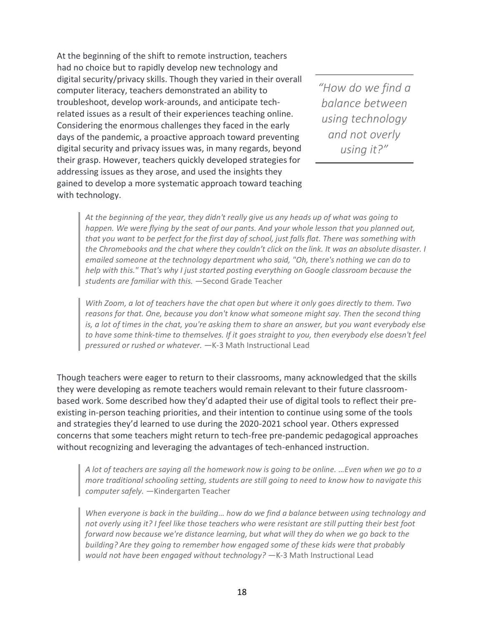At the beginning of the shift to remote instruction, teachers had no choice but to rapidly develop new technology and digital security/privacy skills. Though they varied in their overall computer literacy, teachers demonstrated an ability to troubleshoot, develop work-arounds, and anticipate techrelated issues as a result of their experiences teaching online. Considering the enormous challenges they faced in the early days of the pandemic, a proactive approach toward preventing digital security and privacy issues was, in many regards, beyond their grasp. However, teachers quickly developed strategies for addressing issues as they arose, and used the insights they gained to develop a more systematic approach toward teaching with technology.

*"How do we find a balance between using technology and not overly using it?"*

*At the beginning of the year, they didn't really give us any heads up of what was going to happen. We were flying by the seat of our pants. And your whole lesson that you planned out, that you want to be perfect for the first day of school, just falls flat. There was something with the Chromebooks and the chat where they couldn't click on the link. It was an absolute disaster. I emailed someone at the technology department who said, "Oh, there's nothing we can do to help with this." That's why I just started posting everything on Google classroom because the students are familiar with this.* —Second Grade Teacher

*With Zoom, a lot of teachers have the chat open but where it only goes directly to them. Two reasons for that. One, because you don't know what someone might say. Then the second thing is, a lot of times in the chat, you're asking them to share an answer, but you want everybody else to have some think-time to themselves. If it goes straight to you, then everybody else doesn't feel pressured or rushed or whatever.* —K-3 Math Instructional Lead

Though teachers were eager to return to their classrooms, many acknowledged that the skills they were developing as remote teachers would remain relevant to their future classroombased work. Some described how they'd adapted their use of digital tools to reflect their preexisting in-person teaching priorities, and their intention to continue using some of the tools and strategies they'd learned to use during the 2020-2021 school year. Others expressed concerns that some teachers might return to tech-free pre-pandemic pedagogical approaches without recognizing and leveraging the advantages of tech-enhanced instruction.

*A lot of teachers are saying all the homework now is going to be online. …Even when we go to a more traditional schooling setting, students are still going to need to know how to navigate this computer safely.* —Kindergarten Teacher

*When everyone is back in the building… how do we find a balance between using technology and not overly using it? I feel like those teachers who were resistant are still putting their best foot forward now because we're distance learning, but what will they do when we go back to the building? Are they going to remember how engaged some of these kids were that probably* would not have been engaged without technology? - K-3 Math Instructional Lead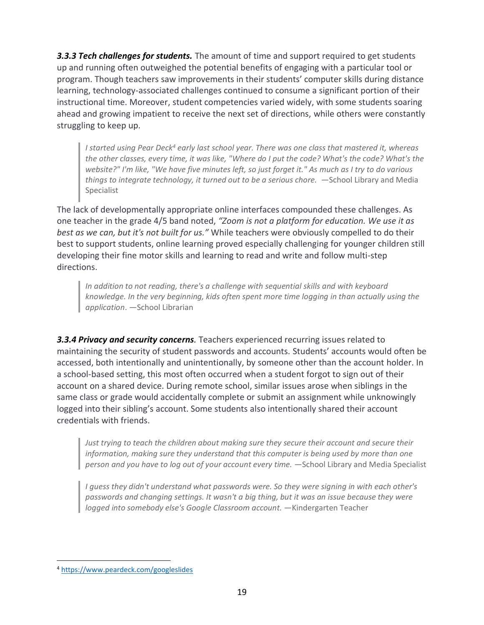*3.3.3 Tech challenges for students.* The amount of time and support required to get students up and running often outweighed the potential benefits of engaging with a particular tool or program. Though teachers saw improvements in their students' computer skills during distance learning, technology-associated challenges continued to consume a significant portion of their instructional time. Moreover, student competencies varied widely, with some students soaring ahead and growing impatient to receive the next set of directions, while others were constantly struggling to keep up.

*I started using Pear Deck<sup>4</sup> early last school year. There was one class that mastered it, whereas the other classes, every time, it was like, "Where do I put the code? What's the code? What's the website?" I'm like, "We have five minutes left, so just forget it." As much as I try to do various things to integrate technology, it turned out to be a serious chore.* —School Library and Media Specialist

The lack of developmentally appropriate online interfaces compounded these challenges. As one teacher in the grade 4/5 band noted, *"Zoom is not a platform for education. We use it as best as we can, but it's not built for us."* While teachers were obviously compelled to do their best to support students, online learning proved especially challenging for younger children still developing their fine motor skills and learning to read and write and follow multi-step directions.

*In addition to not reading, there's a challenge with sequential skills and with keyboard knowledge. In the very beginning, kids often spent more time logging in than actually using the application*. —School Librarian

**3.3.4 Privacy and security concerns**. Teachers experienced recurring issues related to maintaining the security of student passwords and accounts. Students' accounts would often be accessed, both intentionally and unintentionally, by someone other than the account holder. In a school-based setting, this most often occurred when a student forgot to sign out of their account on a shared device. During remote school, similar issues arose when siblings in the same class or grade would accidentally complete or submit an assignment while unknowingly logged into their sibling's account. Some students also intentionally shared their account credentials with friends.

*Just trying to teach the children about making sure they secure their account and secure their information, making sure they understand that this computer is being used by more than one person and you have to log out of your account every time.* —School Library and Media Specialist

*I guess they didn't understand what passwords were. So they were signing in with each other's passwords and changing settings. It wasn't a big thing, but it was an issue because they were logged into somebody else's Google Classroom account.* —Kindergarten Teacher

<sup>4</sup> <https://www.peardeck.com/googleslides>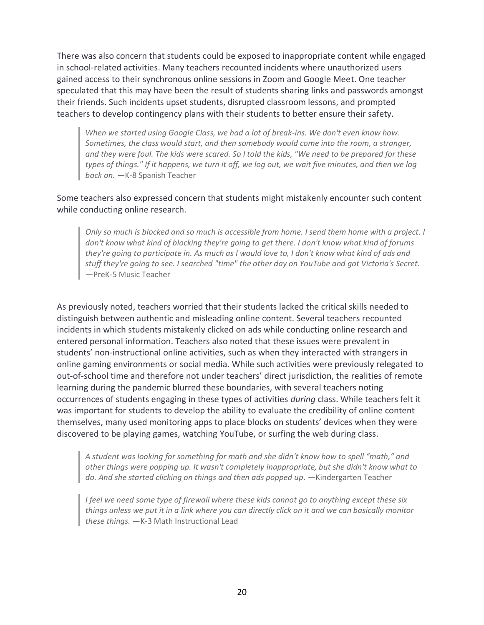There was also concern that students could be exposed to inappropriate content while engaged in school-related activities. Many teachers recounted incidents where unauthorized users gained access to their synchronous online sessions in Zoom and Google Meet. One teacher speculated that this may have been the result of students sharing links and passwords amongst their friends. Such incidents upset students, disrupted classroom lessons, and prompted teachers to develop contingency plans with their students to better ensure their safety.

*When we started using Google Class, we had a lot of break-ins. We don't even know how. Sometimes, the class would start, and then somebody would come into the room, a stranger, and they were foul. The kids were scared. So I told the kids, "We need to be prepared for these types of things." If it happens, we turn it off, we log out, we wait five minutes, and then we log back on.* —K-8 Spanish Teacher

Some teachers also expressed concern that students might mistakenly encounter such content while conducting online research.

*Only so much is blocked and so much is accessible from home. I send them home with a project. I don't know what kind of blocking they're going to get there. I don't know what kind of forums they're going to participate in. As much as I would love to, I don't know what kind of ads and stuff they're going to see. I searched "time" the other day on YouTube and got Victoria's Secret.*  —PreK-5 Music Teacher

As previously noted, teachers worried that their students lacked the critical skills needed to distinguish between authentic and misleading online content. Several teachers recounted incidents in which students mistakenly clicked on ads while conducting online research and entered personal information. Teachers also noted that these issues were prevalent in students' non-instructional online activities, such as when they interacted with strangers in online gaming environments or social media. While such activities were previously relegated to out-of-school time and therefore not under teachers' direct jurisdiction, the realities of remote learning during the pandemic blurred these boundaries, with several teachers noting occurrences of students engaging in these types of activities *during* class. While teachers felt it was important for students to develop the ability to evaluate the credibility of online content themselves, many used monitoring apps to place blocks on students' devices when they were discovered to be playing games, watching YouTube, or surfing the web during class.

*A student was looking for something for math and she didn't know how to spell "math," and other things were popping up. It wasn't completely inappropriate, but she didn't know what to*  do. And she started clicking on things and then ads popped up. - Kindergarten Teacher

*I feel we need some type of firewall where these kids cannot go to anything except these six things unless we put it in a link where you can directly click on it and we can basically monitor these things.* —K-3 Math Instructional Lead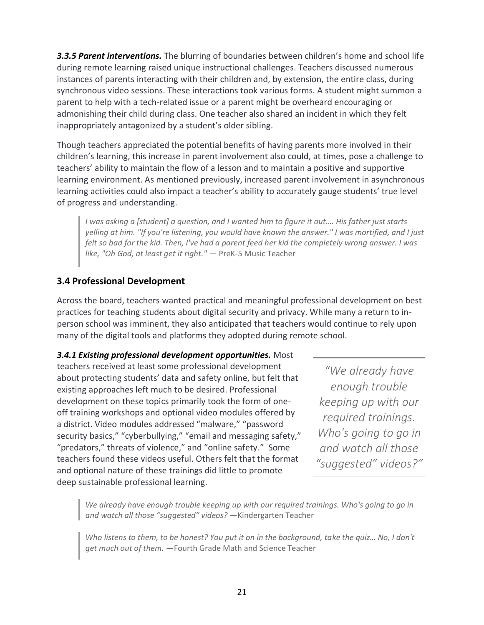**3.3.5 Parent interventions.** The blurring of boundaries between children's home and school life during remote learning raised unique instructional challenges. Teachers discussed numerous instances of parents interacting with their children and, by extension, the entire class, during synchronous video sessions. These interactions took various forms. A student might summon a parent to help with a tech-related issue or a parent might be overheard encouraging or admonishing their child during class. One teacher also shared an incident in which they felt inappropriately antagonized by a student's older sibling.

Though teachers appreciated the potential benefits of having parents more involved in their children's learning, this increase in parent involvement also could, at times, pose a challenge to teachers' ability to maintain the flow of a lesson and to maintain a positive and supportive learning environment. As mentioned previously, increased parent involvement in asynchronous learning activities could also impact a teacher's ability to accurately gauge students' true level of progress and understanding.

*I was asking a [student] a question, and I wanted him to figure it out…. His father just starts yelling at him. "If you're listening, you would have known the answer." I was mortified, and I just felt so bad for the kid. Then, I've had a parent feed her kid the completely wrong answer. I was like, "Oh God, at least get it right."* — PreK-5 Music Teacher

#### **3.4 Professional Development**

Across the board, teachers wanted practical and meaningful professional development on best practices for teaching students about digital security and privacy. While many a return to inperson school was imminent, they also anticipated that teachers would continue to rely upon many of the digital tools and platforms they adopted during remote school.

#### *3.4.1 Existing professional development opportunities.* Most

teachers received at least some professional development about protecting students' data and safety online, but felt that existing approaches left much to be desired. Professional development on these topics primarily took the form of oneoff training workshops and optional video modules offered by a district. Video modules addressed "malware," "password security basics," "cyberbullying," "email and messaging safety," "predators," threats of violence," and "online safety." Some teachers found these videos useful. Others felt that the format and optional nature of these trainings did little to promote deep sustainable professional learning.

*"We already have enough trouble keeping up with our required trainings. Who's going to go in and watch all those "suggested" videos?"*

*We already have enough trouble keeping up with our required trainings. Who's going to go in and watch all those "suggested" videos?* —Kindergarten Teacher

*Who listens to them, to be honest? You put it on in the background, take the quiz… No, I don't get much out of them.* —Fourth Grade Math and Science Teacher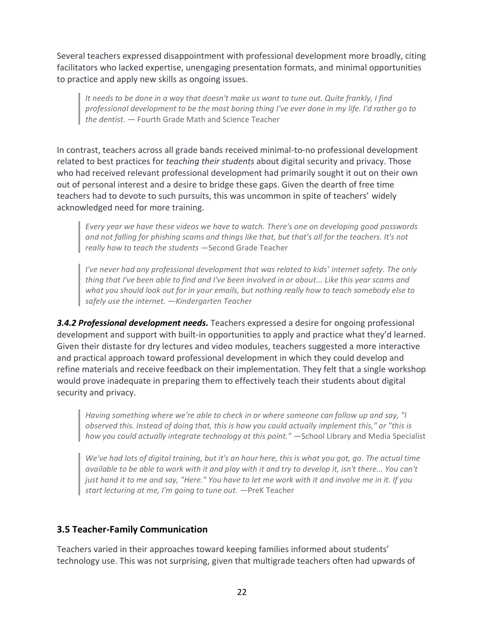Several teachers expressed disappointment with professional development more broadly, citing facilitators who lacked expertise, unengaging presentation formats, and minimal opportunities to practice and apply new skills as ongoing issues.

*It needs to be done in a way that doesn't make us want to tune out. Quite frankly, I find professional development to be the most boring thing I've ever done in my life. I'd rather go to the dentist.* — Fourth Grade Math and Science Teacher

In contrast, teachers across all grade bands received minimal-to-no professional development related to best practices for *teaching their students* about digital security and privacy. Those who had received relevant professional development had primarily sought it out on their own out of personal interest and a desire to bridge these gaps. Given the dearth of free time teachers had to devote to such pursuits, this was uncommon in spite of teachers' widely acknowledged need for more training.

*Every year we have these videos we have to watch. There's one on developing good passwords and not falling for phishing scams and things like that, but that's all for the teachers. It's not really how to teach the students* —Second Grade Teacher

*I've never had any professional development that was related to kids' internet safety. The only thing that I've been able to find and I've been involved in or about... Like this year scams and what you should look out for in your emails, but nothing really how to teach somebody else to safely use the internet. —Kindergarten Teacher*

*3.4.2 Professional development needs.* Teachers expressed a desire for ongoing professional development and support with built-in opportunities to apply and practice what they'd learned. Given their distaste for dry lectures and video modules, teachers suggested a more interactive and practical approach toward professional development in which they could develop and refine materials and receive feedback on their implementation. They felt that a single workshop would prove inadequate in preparing them to effectively teach their students about digital security and privacy.

*Having something where we're able to check in or where someone can follow up and say, "I observed this. Instead of doing that, this is how you could actually implement this," or "this is how you could actually integrate technology at this point."* — School Library and Media Specialist

*We've had lots of digital training, but it's an hour here, this is what you got, go. The actual time available to be able to work with it and play with it and try to develop it, isn't there... You can't just hand it to me and say, "Here." You have to let me work with it and involve me in it. If you start lecturing at me, I'm going to tune out.* —PreK Teacher

#### **3.5 Teacher-Family Communication**

Teachers varied in their approaches toward keeping families informed about students' technology use. This was not surprising, given that multigrade teachers often had upwards of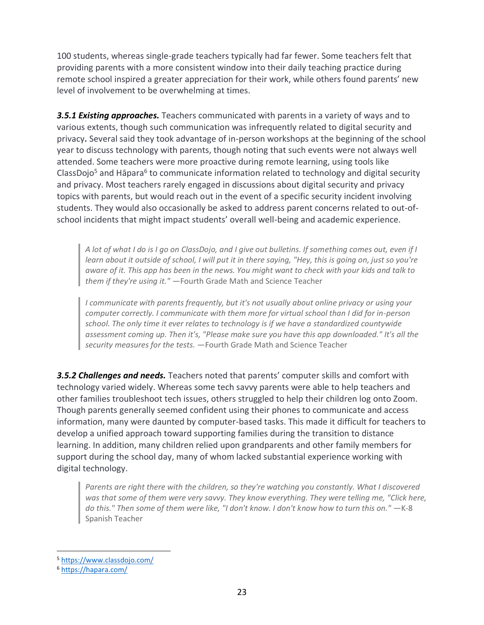100 students, whereas single-grade teachers typically had far fewer. Some teachers felt that providing parents with a more consistent window into their daily teaching practice during remote school inspired a greater appreciation for their work, while others found parents' new level of involvement to be overwhelming at times.

**3.5.1 Existing approaches.** Teachers communicated with parents in a variety of ways and to various extents, though such communication was infrequently related to digital security and privacy**.** Several said they took advantage of in-person workshops at the beginning of the school year to discuss technology with parents, though noting that such events were not always well attended. Some teachers were more proactive during remote learning, using tools like ClassDojo<sup>5</sup> and Hāpara<sup>6</sup> to communicate information related to technology and digital security and privacy. Most teachers rarely engaged in discussions about digital security and privacy topics with parents, but would reach out in the event of a specific security incident involving students. They would also occasionally be asked to address parent concerns related to out-ofschool incidents that might impact students' overall well-being and academic experience.

*A lot of what I do is I go on ClassDojo, and I give out bulletins. If something comes out, even if I learn about it outside of school, I will put it in there saying, "Hey, this is going on, just so you're aware of it. This app has been in the news. You might want to check with your kids and talk to them if they're using it."* —Fourth Grade Math and Science Teacher

*I communicate with parents frequently, but it's not usually about online privacy or using your computer correctly. I communicate with them more for virtual school than I did for in-person school. The only time it ever relates to technology is if we have a standardized countywide assessment coming up. Then it's, "Please make sure you have this app downloaded." It's all the security measures for the tests.* —Fourth Grade Math and Science Teacher

*3.5.2 Challenges and needs.* Teachers noted that parents' computer skills and comfort with technology varied widely. Whereas some tech savvy parents were able to help teachers and other families troubleshoot tech issues, others struggled to help their children log onto Zoom. Though parents generally seemed confident using their phones to communicate and access information, many were daunted by computer-based tasks. This made it difficult for teachers to develop a unified approach toward supporting families during the transition to distance learning. In addition, many children relied upon grandparents and other family members for support during the school day, many of whom lacked substantial experience working with digital technology.

*Parents are right there with the children, so they're watching you constantly. What I discovered*  was that some of them were very savvy. They know everything. They were telling me, "Click here, do this." Then some of them were like, "I don't know. I don't know how to turn this on." - K-8 Spanish Teacher

<sup>5</sup> <https://www.classdojo.com/>

<sup>6</sup> <https://hapara.com/>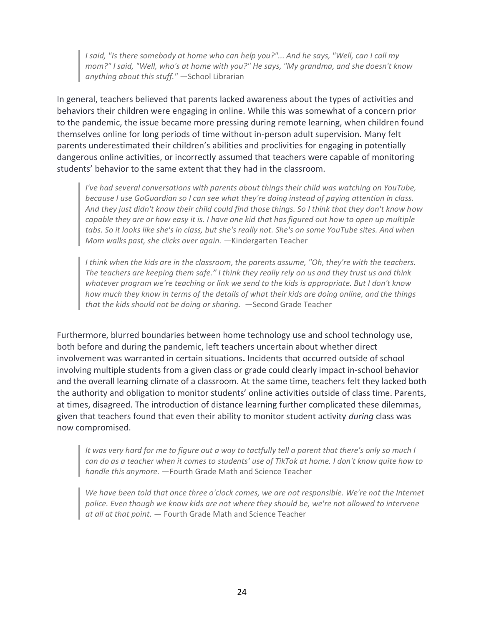*I said, "Is there somebody at home who can help you?"... And he says, "Well, can I call my mom?" I said, "Well, who's at home with you?" He says, "My grandma, and she doesn't know anything about this stuff."* —School Librarian

In general, teachers believed that parents lacked awareness about the types of activities and behaviors their children were engaging in online. While this was somewhat of a concern prior to the pandemic, the issue became more pressing during remote learning, when children found themselves online for long periods of time without in-person adult supervision. Many felt parents underestimated their children's abilities and proclivities for engaging in potentially dangerous online activities, or incorrectly assumed that teachers were capable of monitoring students' behavior to the same extent that they had in the classroom.

*I've had several conversations with parents about things their child was watching on YouTube, because I use GoGuardian so I can see what they're doing instead of paying attention in class. And they just didn't know their child could find those things. So I think that they don't know how capable they are or how easy it is. I have one kid that has figured out how to open up multiple tabs. So it looks like she's in class, but she's really not. She's on some YouTube sites. And when Mom walks past, she clicks over again.* —Kindergarten Teacher

*I think when the kids are in the classroom, the parents assume, "Oh, they're with the teachers. The teachers are keeping them safe." I think they really rely on us and they trust us and think whatever program we're teaching or link we send to the kids is appropriate. But I don't know how much they know in terms of the details of what their kids are doing online, and the things that the kids should not be doing or sharing.* —Second Grade Teacher

Furthermore, blurred boundaries between home technology use and school technology use, both before and during the pandemic, left teachers uncertain about whether direct involvement was warranted in certain situations**.** Incidents that occurred outside of school involving multiple students from a given class or grade could clearly impact in-school behavior and the overall learning climate of a classroom. At the same time, teachers felt they lacked both the authority and obligation to monitor students' online activities outside of class time. Parents, at times, disagreed. The introduction of distance learning further complicated these dilemmas, given that teachers found that even their ability to monitor student activity *during* class was now compromised.

*It was very hard for me to figure out a way to tactfully tell a parent that there's only so much I can do as a teacher when it comes to students' use of TikTok at home. I don't know quite how to handle this anymore.* —Fourth Grade Math and Science Teacher

*We have been told that once three o'clock comes, we are not responsible. We're not the Internet police. Even though we know kids are not where they should be, we're not allowed to intervene at all at that point.* — Fourth Grade Math and Science Teacher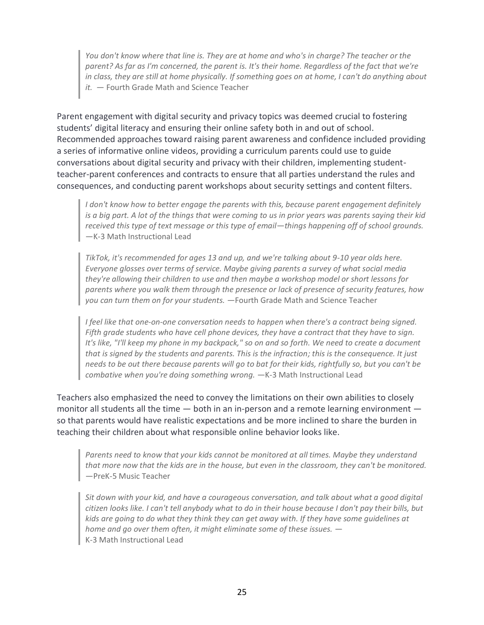*You don't know where that line is. They are at home and who's in charge? The teacher or the parent? As far as I'm concerned, the parent is. It's their home. Regardless of the fact that we're in class, they are still at home physically. If something goes on at home, I can't do anything about it.* — Fourth Grade Math and Science Teacher

Parent engagement with digital security and privacy topics was deemed crucial to fostering students' digital literacy and ensuring their online safety both in and out of school. Recommended approaches toward raising parent awareness and confidence included providing a series of informative online videos, providing a curriculum parents could use to guide conversations about digital security and privacy with their children, implementing studentteacher-parent conferences and contracts to ensure that all parties understand the rules and consequences, and conducting parent workshops about security settings and content filters.

*I don't know how to better engage the parents with this, because parent engagement definitely is a big part. A lot of the things that were coming to us in prior years was parents saying their kid received this type of text message or this type of email*—*things happening off of school grounds.* —K-3 Math Instructional Lead

*TikTok, it's recommended for ages 13 and up, and we're talking about 9-10 year olds here. Everyone glosses over terms of service. Maybe giving parents a survey of what social media they're allowing their children to use and then maybe a workshop model or short lessons for parents where you walk them through the presence or lack of presence of security features, how you can turn them on for your students.* —Fourth Grade Math and Science Teacher

*I feel like that one-on-one conversation needs to happen when there's a contract being signed. Fifth grade students who have cell phone devices, they have a contract that they have to sign. It's like, "I'll keep my phone in my backpack," so on and so forth. We need to create a document that is signed by the students and parents. This is the infraction; this is the consequence. It just needs to be out there because parents will go to bat for their kids, rightfully so, but you can't be combative when you're doing something wrong.*  $-K-3$  Math Instructional Lead

Teachers also emphasized the need to convey the limitations on their own abilities to closely monitor all students all the time — both in an in-person and a remote learning environment so that parents would have realistic expectations and be more inclined to share the burden in teaching their children about what responsible online behavior looks like.

*Parents need to know that your kids cannot be monitored at all times. Maybe they understand that more now that the kids are in the house, but even in the classroom, they can't be monitored.*  —PreK-5 Music Teacher

*Sit down with your kid, and have a courageous conversation, and talk about what a good digital citizen looks like. I can't tell anybody what to do in their house because I don't pay their bills, but kids are going to do what they think they can get away with. If they have some guidelines at home and go over them often, it might eliminate some of these issues.* — K-3 Math Instructional Lead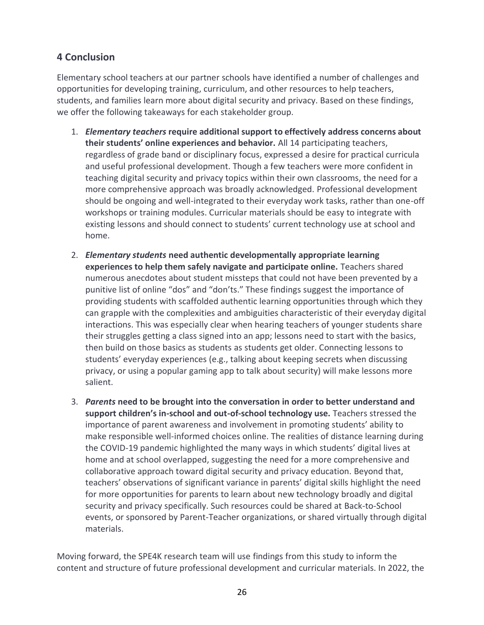#### **4 Conclusion**

Elementary school teachers at our partner schools have identified a number of challenges and opportunities for developing training, curriculum, and other resources to help teachers, students, and families learn more about digital security and privacy. Based on these findings, we offer the following takeaways for each stakeholder group.

- 1. *Elementary teachers* **require additional support to effectively address concerns about their students' online experiences and behavior.** All 14 participating teachers, regardless of grade band or disciplinary focus, expressed a desire for practical curricula and useful professional development. Though a few teachers were more confident in teaching digital security and privacy topics within their own classrooms, the need for a more comprehensive approach was broadly acknowledged. Professional development should be ongoing and well-integrated to their everyday work tasks, rather than one-off workshops or training modules. Curricular materials should be easy to integrate with existing lessons and should connect to students' current technology use at school and home.
- 2. *Elementary students* **need authentic developmentally appropriate learning experiences to help them safely navigate and participate online.** Teachers shared numerous anecdotes about student missteps that could not have been prevented by a punitive list of online "dos" and "don'ts." These findings suggest the importance of providing students with scaffolded authentic learning opportunities through which they can grapple with the complexities and ambiguities characteristic of their everyday digital interactions. This was especially clear when hearing teachers of younger students share their struggles getting a class signed into an app; lessons need to start with the basics, then build on those basics as students as students get older. Connecting lessons to students' everyday experiences (e.g., talking about keeping secrets when discussing privacy, or using a popular gaming app to talk about security) will make lessons more salient.
- 3. *Parents* **need to be brought into the conversation in order to better understand and support children's in-school and out-of-school technology use.** Teachers stressed the importance of parent awareness and involvement in promoting students' ability to make responsible well-informed choices online. The realities of distance learning during the COVID-19 pandemic highlighted the many ways in which students' digital lives at home and at school overlapped, suggesting the need for a more comprehensive and collaborative approach toward digital security and privacy education. Beyond that, teachers' observations of significant variance in parents' digital skills highlight the need for more opportunities for parents to learn about new technology broadly and digital security and privacy specifically. Such resources could be shared at Back-to-School events, or sponsored by Parent-Teacher organizations, or shared virtually through digital materials.

Moving forward, the SPE4K research team will use findings from this study to inform the content and structure of future professional development and curricular materials. In 2022, the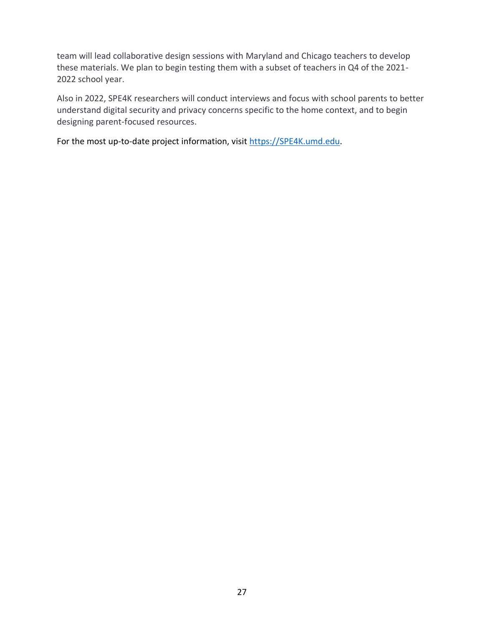team will lead collaborative design sessions with Maryland and Chicago teachers to develop these materials. We plan to begin testing them with a subset of teachers in Q4 of the 2021- 2022 school year.

Also in 2022, SPE4K researchers will conduct interviews and focus with school parents to better understand digital security and privacy concerns specific to the home context, and to begin designing parent-focused resources.

For the most up-to-date project information, visit [https://SPE4K.umd.edu.](https://spe4k.umd.edu/)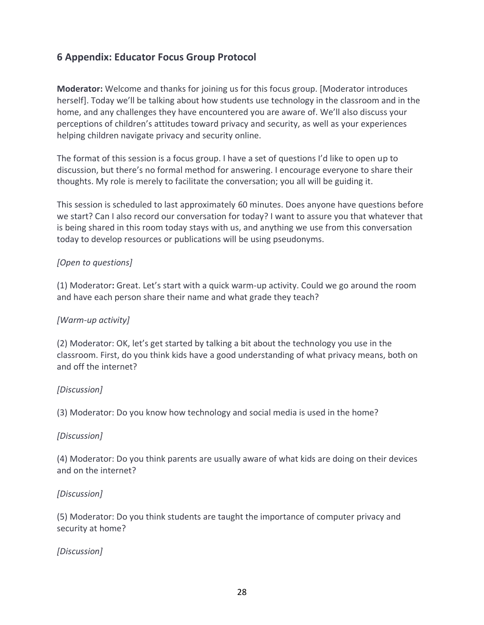#### **6 Appendix: Educator Focus Group Protocol**

**Moderator:** Welcome and thanks for joining us for this focus group. [Moderator introduces herself]. Today we'll be talking about how students use technology in the classroom and in the home, and any challenges they have encountered you are aware of. We'll also discuss your perceptions of children's attitudes toward privacy and security, as well as your experiences helping children navigate privacy and security online.

The format of this session is a focus group. I have a set of questions I'd like to open up to discussion, but there's no formal method for answering. I encourage everyone to share their thoughts. My role is merely to facilitate the conversation; you all will be guiding it.

This session is scheduled to last approximately 60 minutes. Does anyone have questions before we start? Can I also record our conversation for today? I want to assure you that whatever that is being shared in this room today stays with us, and anything we use from this conversation today to develop resources or publications will be using pseudonyms.

#### *[Open to questions]*

(1) Moderator**:** Great. Let's start with a quick warm-up activity. Could we go around the room and have each person share their name and what grade they teach?

#### *[Warm-up activity]*

(2) Moderator: OK, let's get started by talking a bit about the technology you use in the classroom. First, do you think kids have a good understanding of what privacy means, both on and off the internet?

#### *[Discussion]*

(3) Moderator: Do you know how technology and social media is used in the home?

#### *[Discussion]*

(4) Moderator: Do you think parents are usually aware of what kids are doing on their devices and on the internet?

#### *[Discussion]*

(5) Moderator: Do you think students are taught the importance of computer privacy and security at home?

#### *[Discussion]*